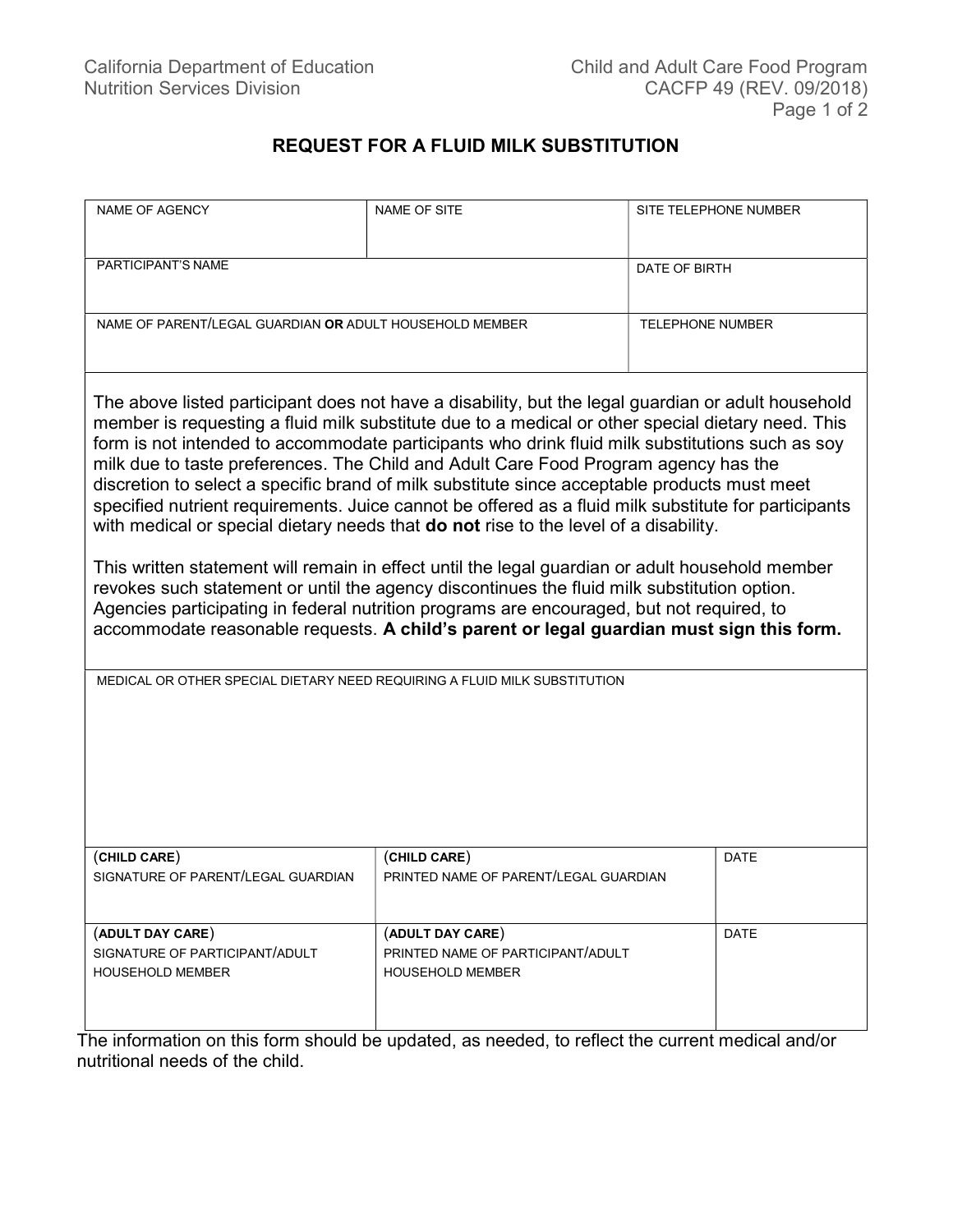## REQUEST FOR A FLUID MILK SUBSTITUTION

| <b>NAME OF AGENCY</b>                                                                                                                                                                                                                                                                                                                                                                                                                                                                                                                                                                                                                                                                                                                                                                                                                                                                                                                                                                                                                                                                        | <b>NAME OF SITE</b>                                                              | SITE TELEPHONE NUMBER |
|----------------------------------------------------------------------------------------------------------------------------------------------------------------------------------------------------------------------------------------------------------------------------------------------------------------------------------------------------------------------------------------------------------------------------------------------------------------------------------------------------------------------------------------------------------------------------------------------------------------------------------------------------------------------------------------------------------------------------------------------------------------------------------------------------------------------------------------------------------------------------------------------------------------------------------------------------------------------------------------------------------------------------------------------------------------------------------------------|----------------------------------------------------------------------------------|-----------------------|
| PARTICIPANT'S NAME                                                                                                                                                                                                                                                                                                                                                                                                                                                                                                                                                                                                                                                                                                                                                                                                                                                                                                                                                                                                                                                                           |                                                                                  | DATE OF BIRTH         |
| NAME OF PARENT/LEGAL GUARDIAN OR ADULT HOUSEHOLD MEMBER                                                                                                                                                                                                                                                                                                                                                                                                                                                                                                                                                                                                                                                                                                                                                                                                                                                                                                                                                                                                                                      |                                                                                  | TELEPHONE NUMBER      |
| The above listed participant does not have a disability, but the legal guardian or adult household<br>member is requesting a fluid milk substitute due to a medical or other special dietary need. This<br>form is not intended to accommodate participants who drink fluid milk substitutions such as soy<br>milk due to taste preferences. The Child and Adult Care Food Program agency has the<br>discretion to select a specific brand of milk substitute since acceptable products must meet<br>specified nutrient requirements. Juice cannot be offered as a fluid milk substitute for participants<br>with medical or special dietary needs that do not rise to the level of a disability.<br>This written statement will remain in effect until the legal guardian or adult household member<br>revokes such statement or until the agency discontinues the fluid milk substitution option.<br>Agencies participating in federal nutrition programs are encouraged, but not required, to<br>accommodate reasonable requests. A child's parent or legal guardian must sign this form. |                                                                                  |                       |
| MEDICAL OR OTHER SPECIAL DIETARY NEED REQUIRING A FLUID MILK SUBSTITUTION                                                                                                                                                                                                                                                                                                                                                                                                                                                                                                                                                                                                                                                                                                                                                                                                                                                                                                                                                                                                                    |                                                                                  |                       |
| (CHILD CARE)<br>SIGNATURE OF PARENT/LEGAL GUARDIAN                                                                                                                                                                                                                                                                                                                                                                                                                                                                                                                                                                                                                                                                                                                                                                                                                                                                                                                                                                                                                                           | (CHILD CARE)<br>PRINTED NAME OF PARENT/LEGAL GUARDIAN                            | <b>DATE</b>           |
| (ADULT DAY CARE)<br>SIGNATURE OF PARTICIPANT/ADULT<br><b>HOUSEHOLD MEMBER</b>                                                                                                                                                                                                                                                                                                                                                                                                                                                                                                                                                                                                                                                                                                                                                                                                                                                                                                                                                                                                                | (ADULT DAY CARE)<br>PRINTED NAME OF PARTICIPANT/ADULT<br><b>HOUSEHOLD MEMBER</b> | <b>DATE</b>           |

The information on this form should be updated, as needed, to reflect the current medical and/or nutritional needs of the child.